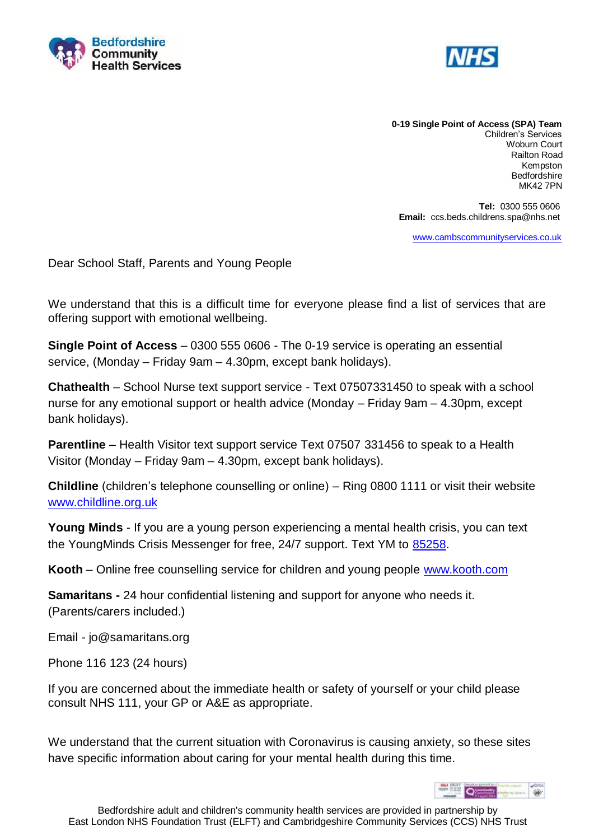



**0-19 Single Point of Access (SPA) Team** Children's Services Woburn Court Railton Road Kempston Bedfordshire MK42 7PN

 **Tel:** 0300 555 0606  **Email:** ccs.beds.childrens.spa@nhs.net

[www.cambscommunityservices.co.uk](http://www.cambscommunityservices.co.uk/)

Dear School Staff, Parents and Young People

We understand that this is a difficult time for everyone please find a list of services that are offering support with emotional wellbeing.

**Single Point of Access** – 0300 555 0606 - The 0-19 service is operating an essential service, (Monday – Friday 9am – 4.30pm, except bank holidays).

**Chathealth** – School Nurse text support service - Text 07507331450 to speak with a school nurse for any emotional support or health advice (Monday – Friday 9am – 4.30pm, except bank holidays).

**Parentline** – Health Visitor text support service Text 07507 331456 to speak to a Health Visitor (Monday – Friday 9am – 4.30pm, except bank holidays).

**Childline** (children's telephone counselling or online) – Ring 0800 1111 or visit their website [www.childline.org.uk](http://www.childline.org.uk/)

**Young Minds** - If you are a young person experiencing a mental health crisis, you can text the YoungMinds Crisis Messenger for free, 24/7 support. Text YM to [85258.](sms:85258?body=THEMIX)

**Kooth** – Online free counselling service for children and young people [www.kooth.com](http://www.kooth.com/)

**Samaritans -** 24 hour confidential listening and support for anyone who needs it. (Parents/carers included.)

Email - jo@samaritans.org

Phone 116 123 (24 hours)

If you are concerned about the immediate health or safety of yourself or your child please consult NHS 111, your GP or A&E as appropriate.

We understand that the current situation with Coronavirus is causing anxiety, so these sites have specific information about caring for your mental health during this time.